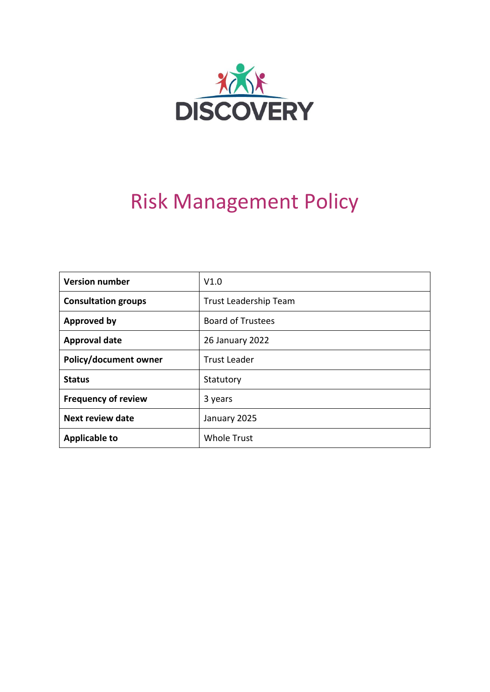

# Risk Management Policy

| <b>Version number</b>      | V1.0                         |
|----------------------------|------------------------------|
| <b>Consultation groups</b> | <b>Trust Leadership Team</b> |
| <b>Approved by</b>         | <b>Board of Trustees</b>     |
| <b>Approval date</b>       | 26 January 2022              |
| Policy/document owner      | <b>Trust Leader</b>          |
| <b>Status</b>              | Statutory                    |
| <b>Frequency of review</b> | 3 years                      |
| <b>Next review date</b>    | January 2025                 |
| <b>Applicable to</b>       | <b>Whole Trust</b>           |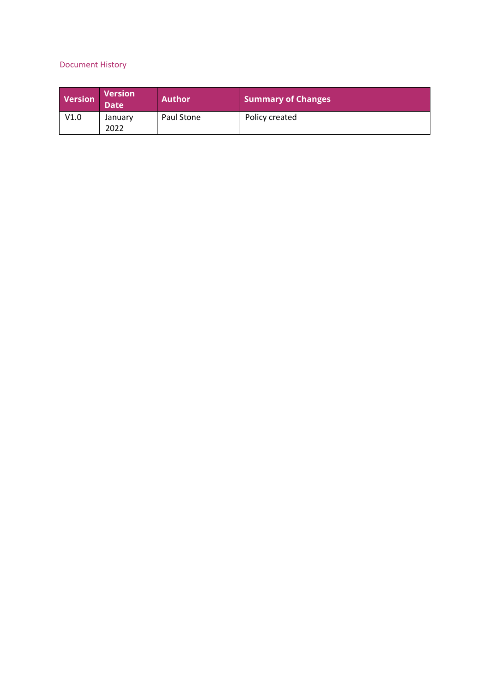# Document History

| Version | <b>Version</b><br><b>Date</b> | <b>Author</b> | <b>Summary of Changes</b> |
|---------|-------------------------------|---------------|---------------------------|
| V1.0    | January<br>2022               | Paul Stone    | Policy created            |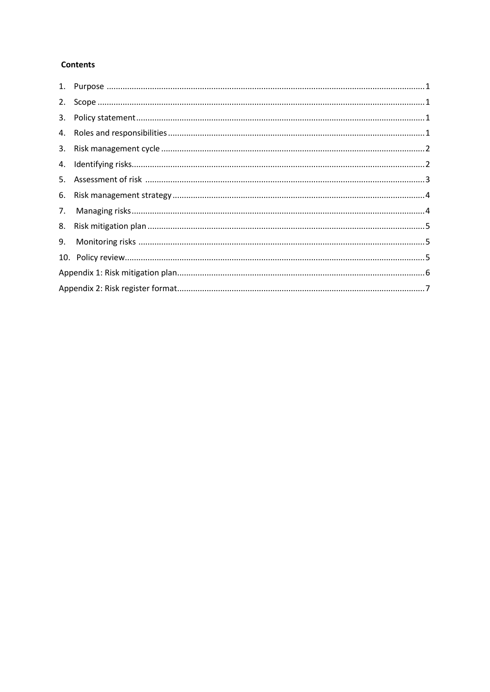#### **Contents**

| 2. |  |
|----|--|
|    |  |
|    |  |
|    |  |
|    |  |
| 5. |  |
|    |  |
| 7. |  |
| 8. |  |
| 9. |  |
|    |  |
|    |  |
|    |  |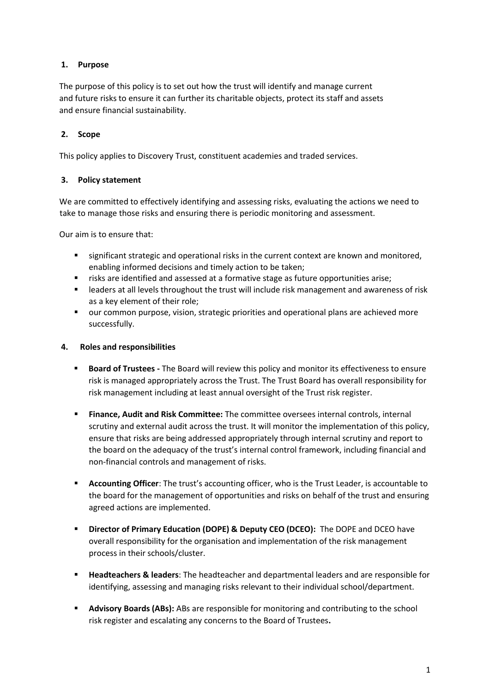### <span id="page-3-0"></span>**1. Purpose**

The purpose of this policy is to set out how the trust will identify and manage current and future risks to ensure it can further its charitable objects, protect its staff and assets and ensure financial sustainability.

## <span id="page-3-1"></span>**2. Scope**

This policy applies to Discovery Trust, constituent academies and traded services.

#### <span id="page-3-2"></span>**3. Policy statement**

We are committed to effectively identifying and assessing risks, evaluating the actions we need to take to manage those risks and ensuring there is periodic monitoring and assessment.

Our aim is to ensure that:

- **EXECT** significant strategic and operational risks in the current context are known and monitored, enabling informed decisions and timely action to be taken;
- risks are identified and assessed at a formative stage as future opportunities arise;
- leaders at all levels throughout the trust will include risk management and awareness of risk as a key element of their role;
- our common purpose, vision, strategic priorities and operational plans are achieved more successfully.

#### <span id="page-3-3"></span>**4. Roles and responsibilities**

- **EXECT A Board of Trustees -** The Board will review this policy and monitor its effectiveness to ensure risk is managed appropriately across the Trust. The Trust Board has overall responsibility for risk management including at least annual oversight of the Trust risk register.
- **Finance, Audit and Risk Committee:** The committee oversees internal controls, internal scrutiny and external audit across the trust. It will monitor the implementation of this policy, ensure that risks are being addressed appropriately through internal scrutiny and report to the board on the adequacy of the trust's internal control framework, including financial and non-financial controls and management of risks.
- **Accounting Officer**: The trust's accounting officer, who is the Trust Leader, is accountable to the board for the management of opportunities and risks on behalf of the trust and ensuring agreed actions are implemented.
- **Director of Primary Education (DOPE) & Deputy CEO (DCEO):** The DOPE and DCEO have overall responsibility for the organisation and implementation of the risk management process in their schools/cluster.
- **Headteachers & leaders:** The headteacher and departmental leaders and are responsible for identifying, assessing and managing risks relevant to their individual school/department.
- Advisory Boards (ABs): ABs are responsible for monitoring and contributing to the school risk register and escalating any concerns to the Board of Trustees**.**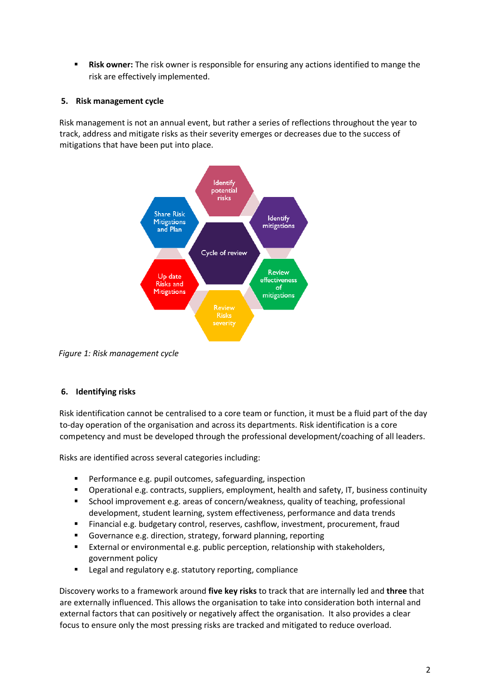**Risk owner:** The risk owner is responsible for ensuring any actions identified to mange the risk are effectively implemented.

#### <span id="page-4-0"></span>**5. Risk management cycle**

Risk management is not an annual event, but rather a series of reflections throughout the year to track, address and mitigate risks as their severity emerges or decreases due to the success of mitigations that have been put into place.



*Figure 1: Risk management cycle* 

#### <span id="page-4-1"></span>**6. Identifying risks**

Risk identification cannot be centralised to a core team or function, it must be a fluid part of the day to-day operation of the organisation and across its departments. Risk identification is a core competency and must be developed through the professional development/coaching of all leaders.

Risks are identified across several categories including:

- Performance e.g. pupil outcomes, safeguarding, inspection
- Operational e.g. contracts, suppliers, employment, health and safety, IT, business continuity
- School improvement e.g. areas of concern/weakness, quality of teaching, professional development, student learning, system effectiveness, performance and data trends
- Financial e.g. budgetary control, reserves, cashflow, investment, procurement, fraud
- Governance e.g. direction, strategy, forward planning, reporting
- External or environmental e.g. public perception, relationship with stakeholders, government policy
- Legal and regulatory e.g. statutory reporting, compliance

Discovery works to a framework around **five key risks** to track that are internally led and **three** that are externally influenced. This allows the organisation to take into consideration both internal and external factors that can positively or negatively affect the organisation. It also provides a clear focus to ensure only the most pressing risks are tracked and mitigated to reduce overload.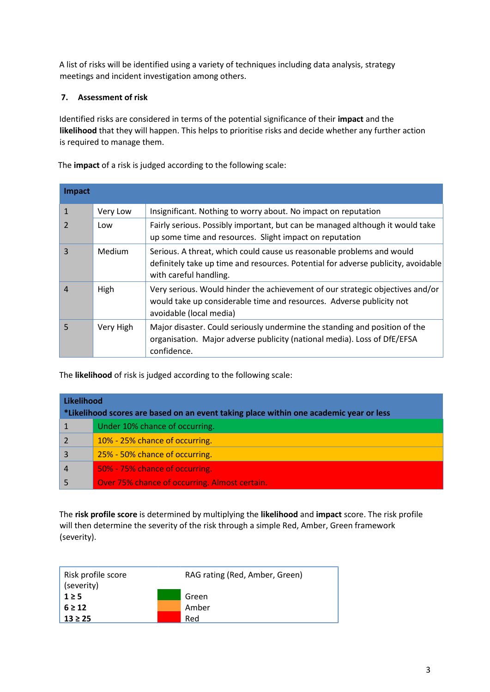A list of risks will be identified using a variety of techniques including data analysis, strategy meetings and incident investigation among others.

#### <span id="page-5-0"></span>**7. Assessment of risk**

Identified risks are considered in terms of the potential significance of their **impact** and the **likelihood** that they will happen. This helps to prioritise risks and decide whether any further action is required to manage them.

The **impact** of a risk is judged according to the following scale:

| Impact         |           |                                                                                                                                                                                      |
|----------------|-----------|--------------------------------------------------------------------------------------------------------------------------------------------------------------------------------------|
| $\mathbf{1}$   | Very Low  | Insignificant. Nothing to worry about. No impact on reputation                                                                                                                       |
| $\overline{2}$ | Low       | Fairly serious. Possibly important, but can be managed although it would take<br>up some time and resources. Slight impact on reputation                                             |
| $\overline{3}$ | Medium    | Serious. A threat, which could cause us reasonable problems and would<br>definitely take up time and resources. Potential for adverse publicity, avoidable<br>with careful handling. |
| $\overline{4}$ | High      | Very serious. Would hinder the achievement of our strategic objectives and/or<br>would take up considerable time and resources. Adverse publicity not<br>avoidable (local media)     |
| 5              | Very High | Major disaster. Could seriously undermine the standing and position of the<br>organisation. Major adverse publicity (national media). Loss of DfE/EFSA<br>confidence.                |

The **likelihood** of risk is judged according to the following scale:

| Likelihood<br>*Likelihood scores are based on an event taking place within one academic year or less |                                               |  |  |  |  |  |
|------------------------------------------------------------------------------------------------------|-----------------------------------------------|--|--|--|--|--|
|                                                                                                      | Under 10% chance of occurring.                |  |  |  |  |  |
|                                                                                                      | 10% - 25% chance of occurring.                |  |  |  |  |  |
| 3                                                                                                    | 25% - 50% chance of occurring.                |  |  |  |  |  |
| $\overline{4}$                                                                                       | 50% - 75% chance of occurring.                |  |  |  |  |  |
|                                                                                                      | Over 75% chance of occurring. Almost certain. |  |  |  |  |  |

The **risk profile score** is determined by multiplying the **likelihood** and **impact** score. The risk profile will then determine the severity of the risk through a simple Red, Amber, Green framework (severity).

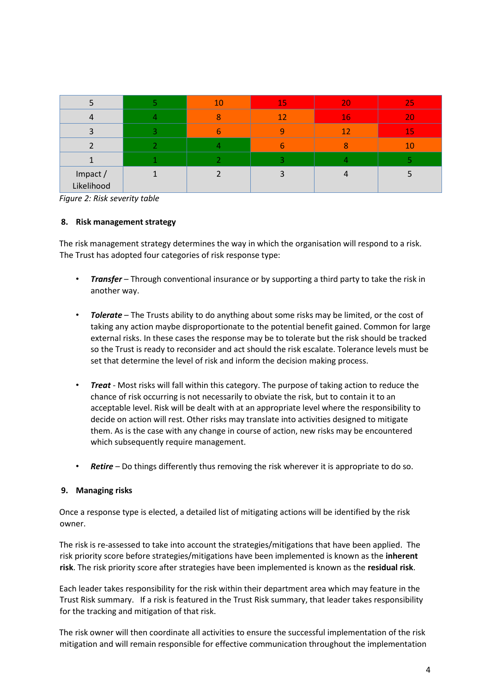|                        |                          | 10 <sup>1</sup> | <b>15</b> | 20 | 25 |
|------------------------|--------------------------|-----------------|-----------|----|----|
|                        |                          |                 | 12        | 16 | 20 |
| 3                      | $\overline{\phantom{a}}$ |                 |           | 12 | 15 |
|                        |                          |                 |           |    | 10 |
|                        |                          |                 |           |    |    |
| Impact /<br>Likelihood |                          |                 |           |    |    |

*Figure 2: Risk severity table* 

#### <span id="page-6-0"></span>**8. Risk management strategy**

The risk management strategy determines the way in which the organisation will respond to a risk. The Trust has adopted four categories of risk response type:

- *Transfer* Through conventional insurance or by supporting a third party to take the risk in another way.
- *Tolerate* The Trusts ability to do anything about some risks may be limited, or the cost of taking any action maybe disproportionate to the potential benefit gained. Common for large external risks. In these cases the response may be to tolerate but the risk should be tracked so the Trust is ready to reconsider and act should the risk escalate. Tolerance levels must be set that determine the level of risk and inform the decision making process.
- *Treat* Most risks will fall within this category. The purpose of taking action to reduce the chance of risk occurring is not necessarily to obviate the risk, but to contain it to an acceptable level. Risk will be dealt with at an appropriate level where the responsibility to decide on action will rest. Other risks may translate into activities designed to mitigate them. As is the case with any change in course of action, new risks may be encountered which subsequently require management.
- *Retire* Do things differently thus removing the risk wherever it is appropriate to do so.

#### <span id="page-6-1"></span>**9. Managing risks**

Once a response type is elected, a detailed list of mitigating actions will be identified by the risk owner.

The risk is re-assessed to take into account the strategies/mitigations that have been applied. The risk priority score before strategies/mitigations have been implemented is known as the **inherent risk**. The risk priority score after strategies have been implemented is known as the **residual risk**.

Each leader takes responsibility for the risk within their department area which may feature in the Trust Risk summary. If a risk is featured in the Trust Risk summary, that leader takes responsibility for the tracking and mitigation of that risk.

The risk owner will then coordinate all activities to ensure the successful implementation of the risk mitigation and will remain responsible for effective communication throughout the implementation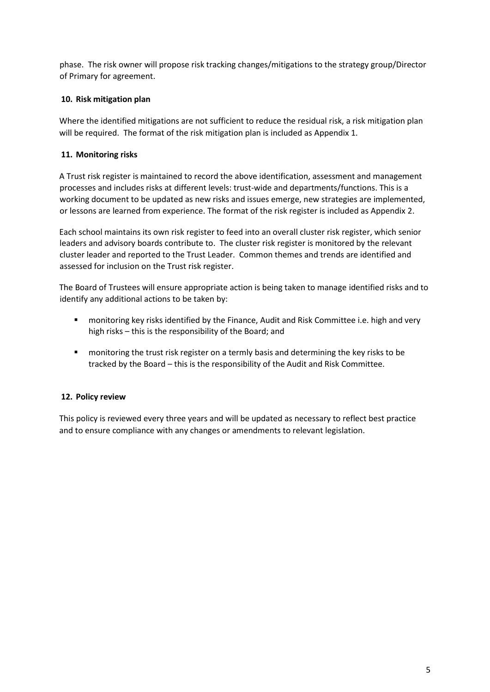phase. The risk owner will propose risk tracking changes/mitigations to the strategy group/Director of Primary for agreement.

#### <span id="page-7-0"></span>**10. Risk mitigation plan**

Where the identified mitigations are not sufficient to reduce the residual risk, a risk mitigation plan will be required. The format of the risk mitigation plan is included as Appendix 1.

### <span id="page-7-1"></span>**11. Monitoring risks**

A Trust risk register is maintained to record the above identification, assessment and management processes and includes risks at different levels: trust-wide and departments/functions. This is a working document to be updated as new risks and issues emerge, new strategies are implemented, or lessons are learned from experience. The format of the risk register is included as Appendix 2.

Each school maintains its own risk register to feed into an overall cluster risk register, which senior leaders and advisory boards contribute to. The cluster risk register is monitored by the relevant cluster leader and reported to the Trust Leader. Common themes and trends are identified and assessed for inclusion on the Trust risk register.

The Board of Trustees will ensure appropriate action is being taken to manage identified risks and to identify any additional actions to be taken by:

- monitoring key risks identified by the Finance, Audit and Risk Committee i.e. high and very high risks – this is the responsibility of the Board; and
- monitoring the trust risk register on a termly basis and determining the key risks to be tracked by the Board – this is the responsibility of the Audit and Risk Committee.

#### <span id="page-7-2"></span>**12. Policy review**

This policy is reviewed every three years and will be updated as necessary to reflect best practice and to ensure compliance with any changes or amendments to relevant legislation.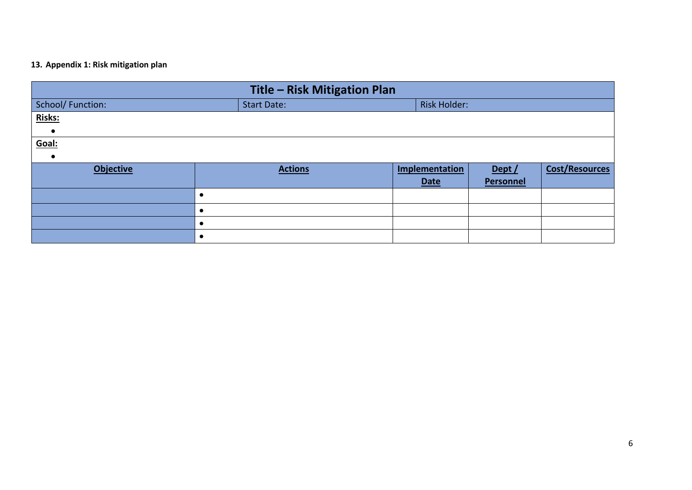### **13. Appendix 1: Risk mitigation plan**

<span id="page-8-0"></span>

| Title - Risk Mitigation Plan |                    |                     |                  |                       |  |  |  |  |
|------------------------------|--------------------|---------------------|------------------|-----------------------|--|--|--|--|
| School/Function:             | <b>Start Date:</b> | <b>Risk Holder:</b> |                  |                       |  |  |  |  |
| Risks:                       |                    |                     |                  |                       |  |  |  |  |
| $\bullet$                    |                    |                     |                  |                       |  |  |  |  |
| Goal:                        |                    |                     |                  |                       |  |  |  |  |
| $\bullet$                    |                    |                     |                  |                       |  |  |  |  |
| <b>Objective</b>             | <b>Actions</b>     | Implementation      | Dept /           | <b>Cost/Resources</b> |  |  |  |  |
|                              |                    | <b>Date</b>         | <b>Personnel</b> |                       |  |  |  |  |
|                              | $\epsilon$         |                     |                  |                       |  |  |  |  |
|                              | $\bullet$          |                     |                  |                       |  |  |  |  |
|                              |                    |                     |                  |                       |  |  |  |  |
|                              | $\bullet$          |                     |                  |                       |  |  |  |  |